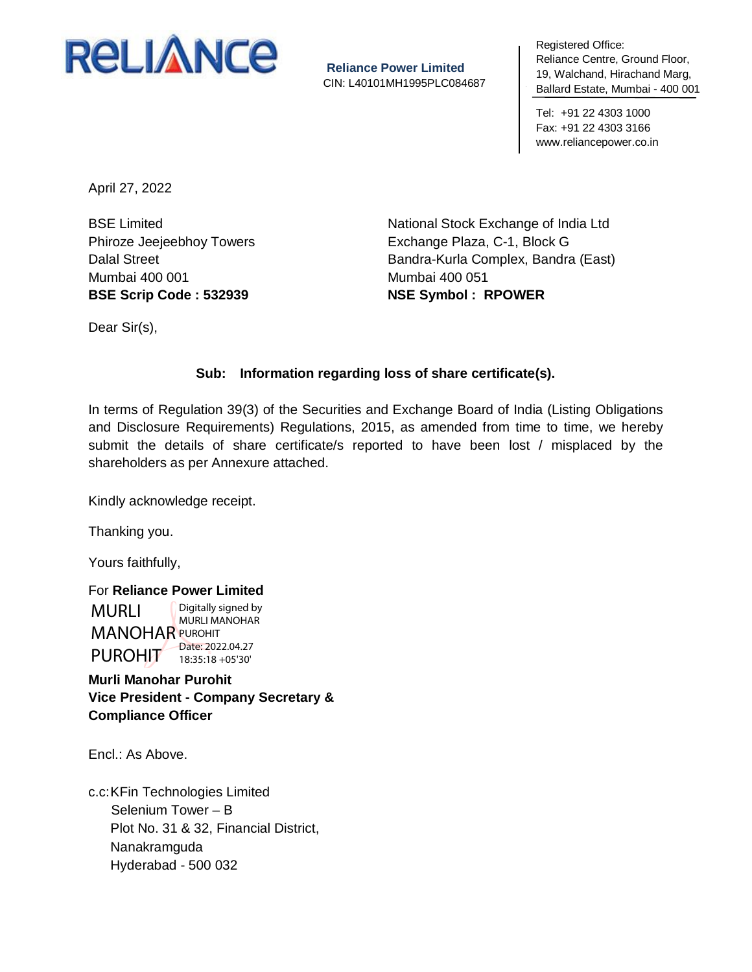

**Reliance Power Limited** CIN: L40101MH1995PLC084687 negistered Umeer<br>Reliance Centre, Ground Floor, 19, Walchand, Hirachand Marg, To, Walonaha, P Ballard Estate, Mumbai - 400 001 Registered Office:

Tel: +91 22 4303 1000 Fax: +91 22 4303 3166 www.reliancepower.co.in

April 27, 2022

BSE Limited Phiroze Jeejeebhoy Towers Dalal Street Mumbai 400 001 **BSE Scrip Code : 532939**

National Stock Exchange of India Ltd Exchange Plaza, C-1, Block G Bandra-Kurla Complex, Bandra (East) Mumbai 400 051 **NSE Symbol : RPOWER**

Dear Sir(s),

## **Sub: Information regarding loss of share certificate(s).**

In terms of Regulation 39(3) of the Securities and Exchange Board of India (Listing Obligations and Disclosure Requirements) Regulations, 2015, as amended from time to time, we hereby submit the details of share certificate/s reported to have been lost / misplaced by the shareholders as per Annexure attached.

Kindly acknowledge receipt.

Thanking you.

Yours faithfully,

For **Reliance Power Limited** MURLI **MANOHAR PUROHIT** PUROHIT Digitally signed by MURLI MANOHAR Date: 2022.04.27 18:35:18 +05'30'

**Murli Manohar Purohit Vice President - Company Secretary & Compliance Officer**

Encl.: As Above.

c.c:KFin Technologies Limited Selenium Tower – B Plot No. 31 & 32, Financial District, Nanakramguda Hyderabad - 500 032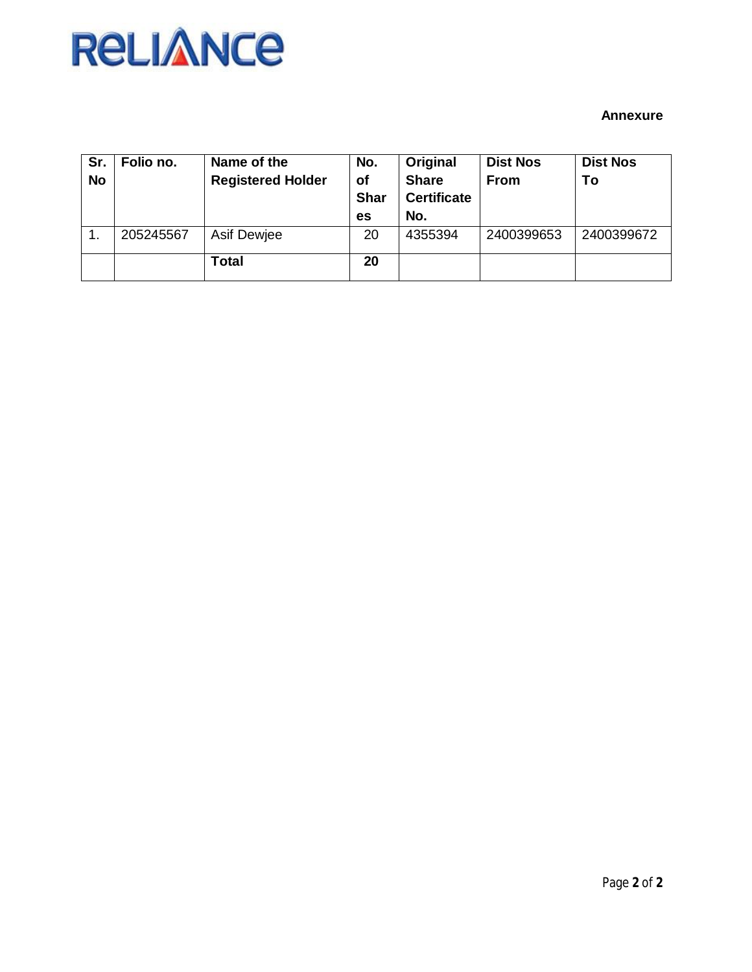## **RELIANCE**

## **Annexure**

| Sr.<br><b>No</b> | Folio no. | Name of the<br><b>Registered Holder</b> | No.<br><b>of</b><br><b>Shar</b><br>es | Original<br><b>Share</b><br><b>Certificate</b><br>No. | <b>Dist Nos</b><br><b>From</b> | <b>Dist Nos</b><br>To |
|------------------|-----------|-----------------------------------------|---------------------------------------|-------------------------------------------------------|--------------------------------|-----------------------|
|                  | 205245567 | Asif Dewjee                             | 20                                    | 4355394                                               | 2400399653                     | 2400399672            |
|                  |           | Total                                   | 20                                    |                                                       |                                |                       |